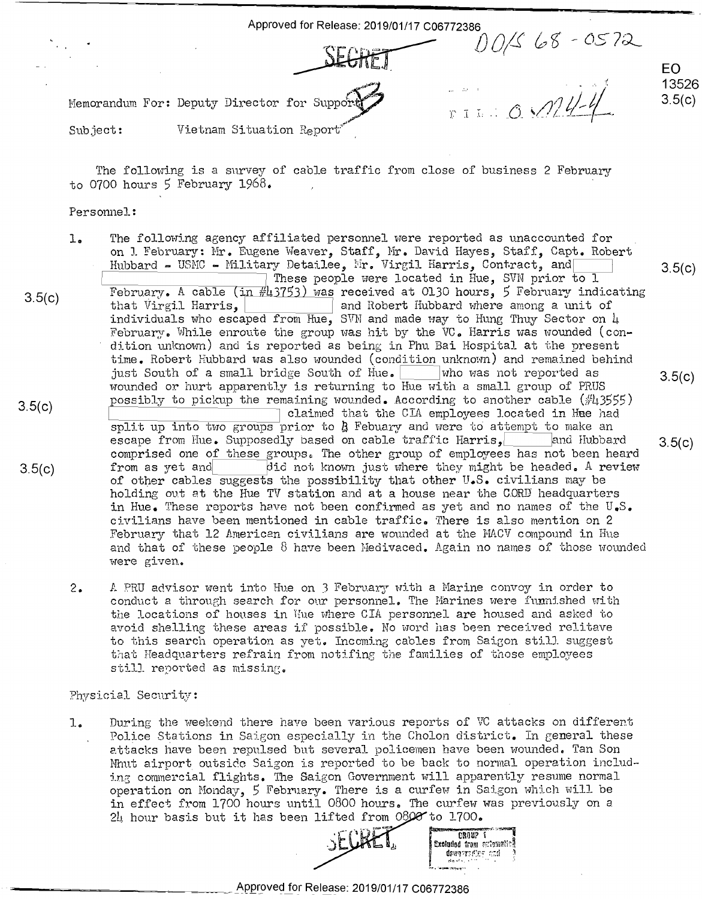Approved for Release: 2019/01/17 C06772386 Approved for Release: 2019/01/17 006772386  $100/568 - 0572$ Memorandum For: Deputy Director for Suppo  $r: \mathbb{I} \cup \{0,1/4\}$ EO EO 13526 13526  $3.5(c)$ "':1

Subject:  $\hbox{\tt Vietnam}\,$  Situation  ${\tt Report}^{\hbox{\tiny \it eff}}$ Subject:

The following is a survey of cable traffic from close of business 2 February The following is <sup>a</sup> survey of cable traffic from close of business 2 February to 0700 hours 5 February 1968. to <sup>0700</sup> hours <sup>5</sup> February 1968. '

## Personnel: Personnel:

- 3.5(c) 3.5(c) 3.5(c) The following agency affiliated personnel were reported as unaccounted for 1. The following agency affiliated personnel were reported as unaccounted for \_ on J. February: Mr. Eugene Weaver, Staff, Mr. David Hayes, Staff, Capt. Robert Hubbard = USMC - Military Detailee, Mr. Virgil Harris, Contract, and 3.5(c) These people were located in Hue, SVN prior to l  $\frac{1}{3.5}$   $\frac{1}{5}$   $\frac{1}{10.30}$   $\frac{1}{20.50}$   $\frac{1}{20.50}$  was received at 0130 hours, 5 February indicating that Virgil Harris, **I all and Robert Hubbard where among a unit of** individuals who escaped from  $\overline{\text{Hue}}$ , SVN and made way to Hung Thuy Sector on  $\mu$ February. While enroute the group was hit by the VC. Harris was wounded (condition unknown) and is reported as being in Phu Bai Hospital at the present time. Robert Hubbard was also wounded (condition unknown) and remained behind just South of a small bridge South of Hue. Who was not reported as  $3.5(c)$ wounded or hurt apparently is returning to Hue with a small group of PRUS a 5(c) consibly to pickup the remaining wounded. According to another cable (#43555) claimed that the CIA employees located in Hue had split up into two groups prior to  $\frac{1}{2}$  Febuary and were to attempt to make an escape from Hue. Supposedly based on cable traffic Harris,**[inclu**and Hubbard and 3.5(c) comprised one of these groups. The other group of employees has not been heard 3.5(c) from as yet and  $\overline{$  did not known just where they might be headed. A review of other cables suggests the possibility that other  $U_{\bullet}S_{\bullet}$  civilians may be holding out at the Hue TV station and at a house near the COORD headquarters holding out at the Hue TV station and at <sup>a</sup> house near the CORE headquarters in Hue. These reports have not been confirmed as yet and no names of the U.S. ci.vilians have been mentioned in cable traffic. There is also mention on <sup>2</sup> civilians have been mentioned in cable traffic. There is also mention on 2 February that 12 American civilians are wounded at the MACV compound in Hue and that of these people  $8$  have been Medivaced. Again no names of those wounded were given. were given.
	- 2. A PRU advisor went into Hue on 3 February with a Marine convoy in order to conduct a through search for our personnel. The Marines were funnished with the locations of houses in Hue where CIA personnel are housed and asked to and Roddensions of hombos in the whole off porsonnel are homeed and denote to to this search operation as yet. Incoming cables from Saigon still suggest that Headquarters refrain from notifing the families of those employees still reported as missing.

## Physici2l Security: PhySicial Security:

1. During the weekend there have been various reports of VC attacks on different Police Stations in Saigon especially in the Cholon district. In general these 2.ttacks have been repulsed but several policemen have been wounded. Tan Son attacks have been repulsed but several policemen have been wounded. Tan Son Nhut airport outside Saigon is reported to be back to normal operation including commercial flights. The Saigon Government will apparently resume normal operation on Monday, 5 February. There is a curfew in Saigon which will be in effect from 1700 hours until 0800 hours. The curfew was previously on a In effect from 1700 hours and it cool hours. The carrew was operation on Monday, <sup>5</sup> February. There is <sup>a</sup> curfew in Saigon which will be in effect from 1700 hours until 0800 hours. The curfew was previously on <sup>a</sup>



**C·!IOU?** I,. **'"""""1** 

\_\_\_ \_\_\_\_\_\_ Approved for Release: 2019/01/17 C06772386